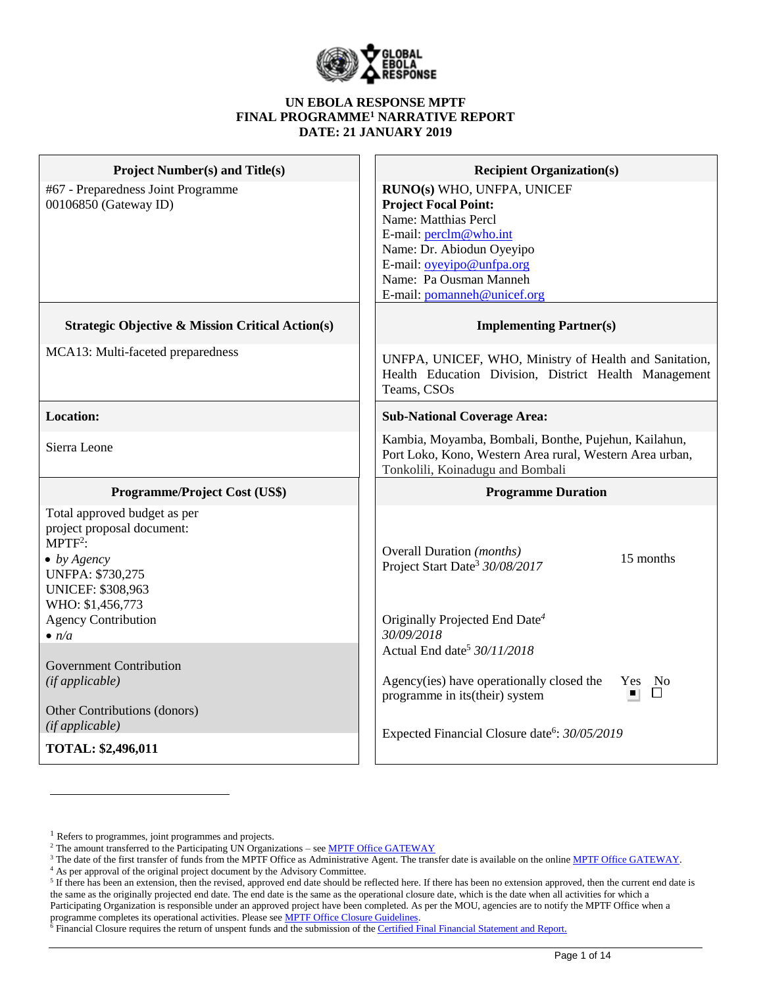

#### **UN EBOLA RESPONSE MPTF FINAL PROGRAMME<sup>1</sup> NARRATIVE REPORT DATE: 21 JANUARY 2019**

| <b>Project Number(s) and Title(s)</b><br>#67 - Preparedness Joint Programme<br>00106850 (Gateway ID)                                                                                                                                                                                                                             | <b>Recipient Organization(s)</b><br>RUNO(s) WHO, UNFPA, UNICEF<br><b>Project Focal Point:</b><br>Name: Matthias Percl<br>E-mail: perclm@who.int<br>Name: Dr. Abiodun Oyeyipo<br>E-mail: oyeyipo@unfpa.org<br>Name: Pa Ousman Manneh<br>E-mail: pomanneh@unicef.org                                                                                                |
|----------------------------------------------------------------------------------------------------------------------------------------------------------------------------------------------------------------------------------------------------------------------------------------------------------------------------------|-------------------------------------------------------------------------------------------------------------------------------------------------------------------------------------------------------------------------------------------------------------------------------------------------------------------------------------------------------------------|
| <b>Strategic Objective &amp; Mission Critical Action(s)</b>                                                                                                                                                                                                                                                                      | <b>Implementing Partner(s)</b>                                                                                                                                                                                                                                                                                                                                    |
| MCA13: Multi-faceted preparedness                                                                                                                                                                                                                                                                                                | UNFPA, UNICEF, WHO, Ministry of Health and Sanitation,<br>Health Education Division, District Health Management<br>Teams, CSOs                                                                                                                                                                                                                                    |
| <b>Location:</b>                                                                                                                                                                                                                                                                                                                 | <b>Sub-National Coverage Area:</b>                                                                                                                                                                                                                                                                                                                                |
| Sierra Leone                                                                                                                                                                                                                                                                                                                     | Kambia, Moyamba, Bombali, Bonthe, Pujehun, Kailahun,<br>Port Loko, Kono, Western Area rural, Western Area urban,<br>Tonkolili, Koinadugu and Bombali                                                                                                                                                                                                              |
| Programme/Project Cost (US\$)                                                                                                                                                                                                                                                                                                    | <b>Programme Duration</b>                                                                                                                                                                                                                                                                                                                                         |
| Total approved budget as per<br>project proposal document:<br>$MPTF2$ :<br>$\bullet$ by Agency<br><b>UNFPA: \$730,275</b><br><b>UNICEF: \$308,963</b><br>WHO: \$1,456,773<br><b>Agency Contribution</b><br>$\bullet$ n/a<br><b>Government Contribution</b><br>(if applicable)<br>Other Contributions (donors)<br>(if applicable) | <b>Overall Duration</b> (months)<br>15 months<br>Project Start Date <sup>3</sup> 30/08/2017<br>Originally Projected End Date <sup>4</sup><br>30/09/2018<br>Actual End date <sup>5</sup> 30/11/2018<br>Agency(ies) have operationally closed the<br>No<br>Yes<br>ΙI<br>programme in its(their) system<br>Expected Financial Closure date <sup>6</sup> : 30/05/2019 |
| TOTAL: \$2,496,011                                                                                                                                                                                                                                                                                                               |                                                                                                                                                                                                                                                                                                                                                                   |

 $\overline{a}$ 

<sup>&</sup>lt;sup>1</sup> Refers to programmes, joint programmes and projects.

<sup>&</sup>lt;sup>2</sup> The amount transferred to the Participating UN Organizations – see <u>MPTF Office GATEWAY</u>

<sup>&</sup>lt;sup>3</sup> The date of the first transfer of funds from the MPTF Office as Administrative Agent. The transfer date is available on the online [MPTF Office GATEWAY.](http://mdtf.undp.org/)

<sup>4</sup> As per approval of the original project document by the Advisory Committee.

 $5$  If there has been an extension, then the revised, approved end date should be reflected here. If there has been no extension approved, then the current end date is the same as the originally projected end date. The end date is the same as the operational closure date, which is the date when all activities for which a Participating Organization is responsible under an approved project have been completed. As per the MOU, agencies are to notify the MPTF Office when a programme completes its operational activities. Please see **MPTF Office Closure Guidelines**.

<sup>&</sup>lt;sup>6</sup> Financial Closure requires the return of unspent funds and the submission of th[e Certified Final Financial Statement and Report.](http://mdtf.undp.org/document/download/5388)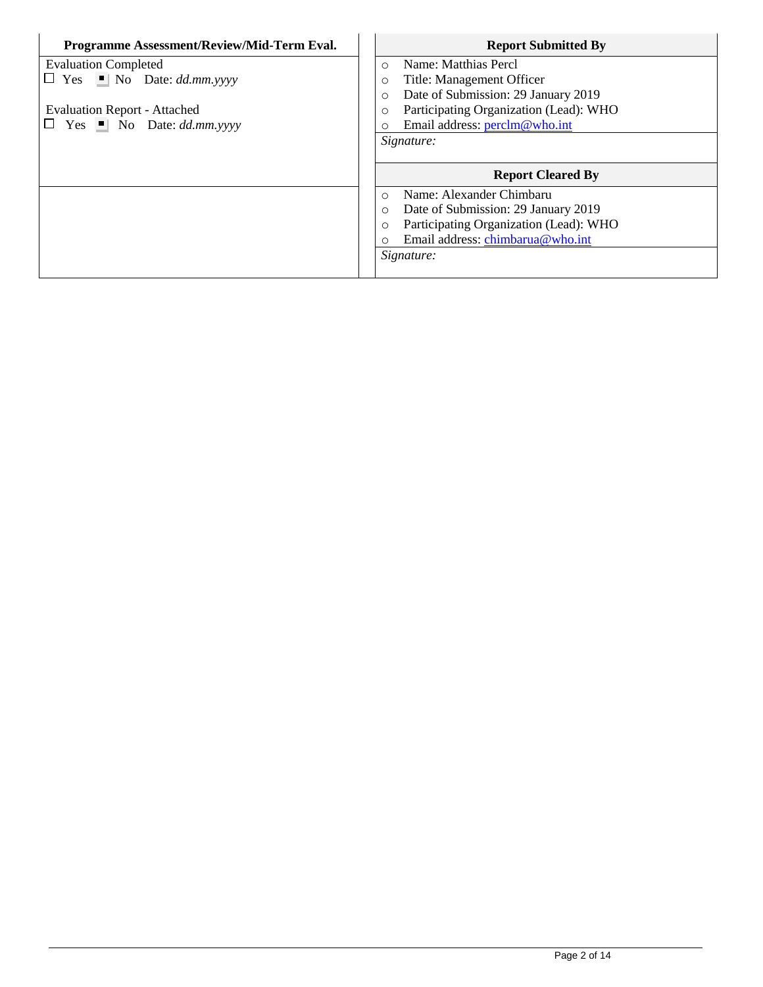| Programme Assessment/Review/Mid-Term Eval. | <b>Report Submitted By</b>                        |
|--------------------------------------------|---------------------------------------------------|
| <b>Evaluation Completed</b>                | Name: Matthias Percl<br>$\circ$                   |
| $\Box$ Yes $\Box$ No Date: dd.mm.yyyy      | Title: Management Officer<br>O                    |
|                                            | Date of Submission: 29 January 2019<br>$\circ$    |
| <b>Evaluation Report - Attached</b>        | Participating Organization (Lead): WHO<br>$\circ$ |
| $\Box$ Yes $\Box$ No Date: dd.mm.yyyy      | Email address: perclm@who.int<br>O                |
|                                            | Signature:                                        |
|                                            |                                                   |
|                                            | <b>Report Cleared By</b>                          |
|                                            | Name: Alexander Chimbaru<br>$\Omega$              |
|                                            | Date of Submission: 29 January 2019<br>$\circ$    |
|                                            | Participating Organization (Lead): WHO<br>$\circ$ |
|                                            |                                                   |
|                                            | Email address: chimbarua@who.int<br>O             |
|                                            | Signature:                                        |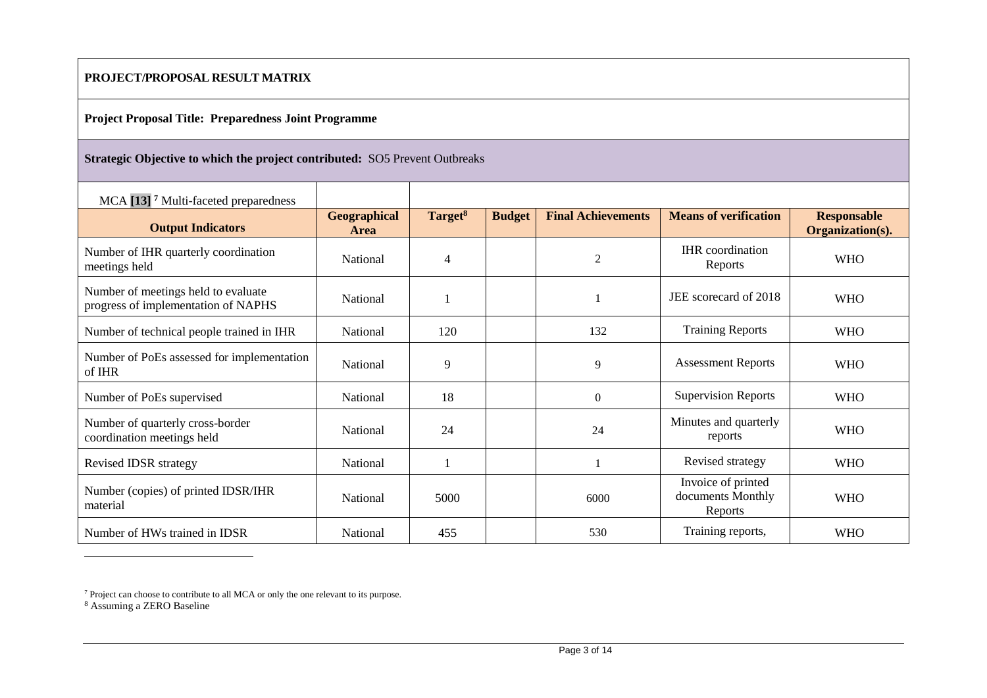### **PROJECT/PROPOSAL RESULT MATRIX**

#### **Project Proposal Title: Preparedness Joint Programme**

### **Strategic Objective to which the project contributed:** SO5 Prevent Outbreaks

| MCA [13] <sup>7</sup> Multi-faceted preparedness                           |                             |                     |               |                           |                                                    |                                        |
|----------------------------------------------------------------------------|-----------------------------|---------------------|---------------|---------------------------|----------------------------------------------------|----------------------------------------|
| <b>Output Indicators</b>                                                   | <b>Geographical</b><br>Area | Target <sup>8</sup> | <b>Budget</b> | <b>Final Achievements</b> | <b>Means of verification</b>                       | <b>Responsable</b><br>Organization(s). |
| Number of IHR quarterly coordination<br>meetings held                      | <b>National</b>             | $\overline{4}$      |               | $\overline{2}$            | <b>IHR</b> coordination<br>Reports                 | <b>WHO</b>                             |
| Number of meetings held to evaluate<br>progress of implementation of NAPHS | <b>National</b>             |                     |               |                           | JEE scorecard of 2018                              | <b>WHO</b>                             |
| Number of technical people trained in IHR                                  | <b>National</b>             | 120                 |               | 132                       | <b>Training Reports</b>                            | <b>WHO</b>                             |
| Number of PoEs assessed for implementation<br>of IHR                       | National                    | 9                   |               | 9                         | <b>Assessment Reports</b>                          | <b>WHO</b>                             |
| Number of PoEs supervised                                                  | <b>National</b>             | 18                  |               | $\Omega$                  | <b>Supervision Reports</b>                         | <b>WHO</b>                             |
| Number of quarterly cross-border<br>coordination meetings held             | National                    | 24                  |               | 24                        | Minutes and quarterly<br>reports                   | <b>WHO</b>                             |
| <b>Revised IDSR strategy</b>                                               | <b>National</b>             |                     |               |                           | Revised strategy                                   | <b>WHO</b>                             |
| Number (copies) of printed IDSR/IHR<br>material                            | <b>National</b>             | 5000                |               | 6000                      | Invoice of printed<br>documents Monthly<br>Reports | <b>WHO</b>                             |
| Number of HWs trained in IDSR                                              | <b>National</b>             | 455                 |               | 530                       | Training reports,                                  | <b>WHO</b>                             |

 $7$  Project can choose to contribute to all MCA or only the one relevant to its purpose.

<sup>8</sup> Assuming a ZERO Baseline

 $\overline{a}$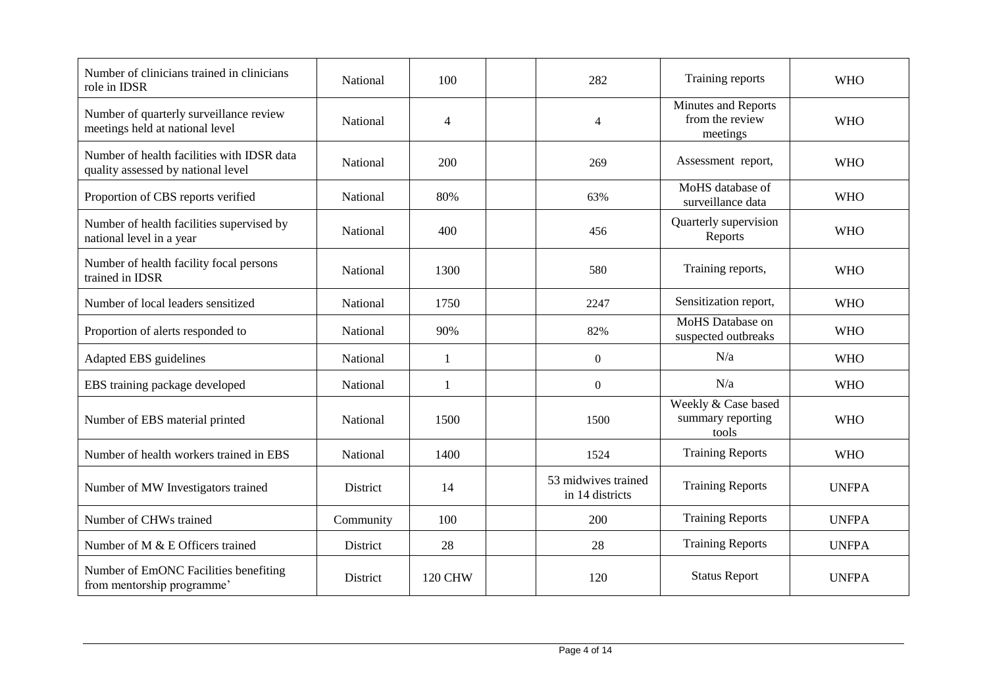| Number of clinicians trained in clinicians<br>role in IDSR                       | National  | 100            | 282                                    | Training reports                                          | <b>WHO</b>   |
|----------------------------------------------------------------------------------|-----------|----------------|----------------------------------------|-----------------------------------------------------------|--------------|
| Number of quarterly surveillance review<br>meetings held at national level       | National  | $\overline{4}$ | $\overline{4}$                         | <b>Minutes and Reports</b><br>from the review<br>meetings | <b>WHO</b>   |
| Number of health facilities with IDSR data<br>quality assessed by national level | National  | 200            | 269                                    | Assessment report,                                        | <b>WHO</b>   |
| Proportion of CBS reports verified                                               | National  | 80%            | 63%                                    | MoHS database of<br>surveillance data                     | <b>WHO</b>   |
| Number of health facilities supervised by<br>national level in a year            | National  | 400            | 456                                    | Quarterly supervision<br>Reports                          | <b>WHO</b>   |
| Number of health facility focal persons<br>trained in IDSR                       | National  | 1300           | 580                                    | Training reports,                                         | <b>WHO</b>   |
| Number of local leaders sensitized                                               | National  | 1750           | 2247                                   | Sensitization report,                                     | <b>WHO</b>   |
| Proportion of alerts responded to                                                | National  | 90%            | 82%                                    | MoHS Database on<br>suspected outbreaks                   | <b>WHO</b>   |
| Adapted EBS guidelines                                                           | National  | $\mathbf{1}$   | $\boldsymbol{0}$                       | N/a                                                       | <b>WHO</b>   |
| EBS training package developed                                                   | National  | -1             | $\boldsymbol{0}$                       | N/a                                                       | <b>WHO</b>   |
| Number of EBS material printed                                                   | National  | 1500           | 1500                                   | Weekly & Case based<br>summary reporting<br>tools         | <b>WHO</b>   |
| Number of health workers trained in EBS                                          | National  | 1400           | 1524                                   | <b>Training Reports</b>                                   | <b>WHO</b>   |
| Number of MW Investigators trained                                               | District  | 14             | 53 midwives trained<br>in 14 districts | <b>Training Reports</b>                                   | <b>UNFPA</b> |
| Number of CHWs trained                                                           | Community | 100            | 200                                    | <b>Training Reports</b>                                   | <b>UNFPA</b> |
| Number of M & E Officers trained                                                 | District  | 28             | 28                                     | <b>Training Reports</b>                                   | <b>UNFPA</b> |
| Number of EmONC Facilities benefiting<br>from mentorship programme'              | District  | <b>120 CHW</b> | 120                                    | <b>Status Report</b>                                      | <b>UNFPA</b> |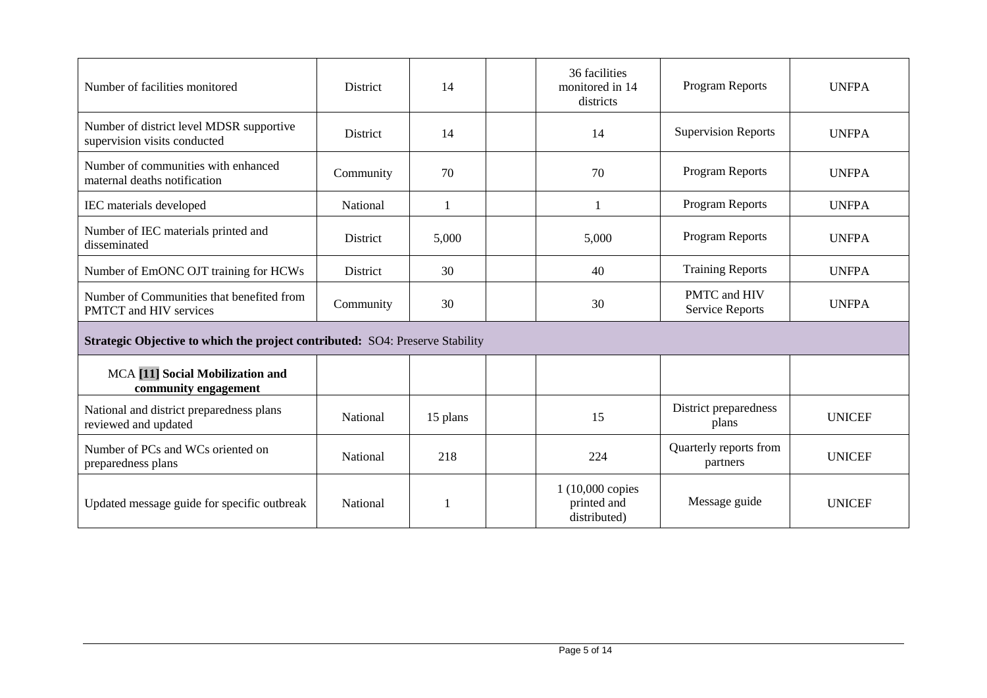| Number of facilities monitored                                                | <b>District</b> | 14       | 36 facilities<br>monitored in 14<br>districts   | <b>Program Reports</b>                 | <b>UNFPA</b>  |
|-------------------------------------------------------------------------------|-----------------|----------|-------------------------------------------------|----------------------------------------|---------------|
| Number of district level MDSR supportive<br>supervision visits conducted      | <b>District</b> | 14       | 14                                              | <b>Supervision Reports</b>             | <b>UNFPA</b>  |
| Number of communities with enhanced<br>maternal deaths notification           | Community       | 70       | 70                                              | <b>Program Reports</b>                 | <b>UNFPA</b>  |
| IEC materials developed                                                       | National        | 1        |                                                 | <b>Program Reports</b>                 | <b>UNFPA</b>  |
| Number of IEC materials printed and<br>disseminated                           | District        | 5,000    | 5,000                                           | <b>Program Reports</b>                 | <b>UNFPA</b>  |
| Number of EmONC OJT training for HCWs                                         | <b>District</b> | 30       | 40                                              | <b>Training Reports</b>                | <b>UNFPA</b>  |
| Number of Communities that benefited from<br>PMTCT and HIV services           | Community       | 30       | 30                                              | PMTC and HIV<br><b>Service Reports</b> | <b>UNFPA</b>  |
| Strategic Objective to which the project contributed: SO4: Preserve Stability |                 |          |                                                 |                                        |               |
| MCA <a>[11]</a> Social Mobilization and<br>community engagement               |                 |          |                                                 |                                        |               |
| National and district preparedness plans<br>reviewed and updated              | <b>National</b> | 15 plans | 15                                              | District preparedness<br>plans         | <b>UNICEF</b> |
| Number of PCs and WCs oriented on<br>preparedness plans                       | National        | 218      | 224                                             | Quarterly reports from<br>partners     | <b>UNICEF</b> |
| Updated message guide for specific outbreak                                   | <b>National</b> |          | 1 (10,000 copies<br>printed and<br>distributed) | Message guide                          | <b>UNICEF</b> |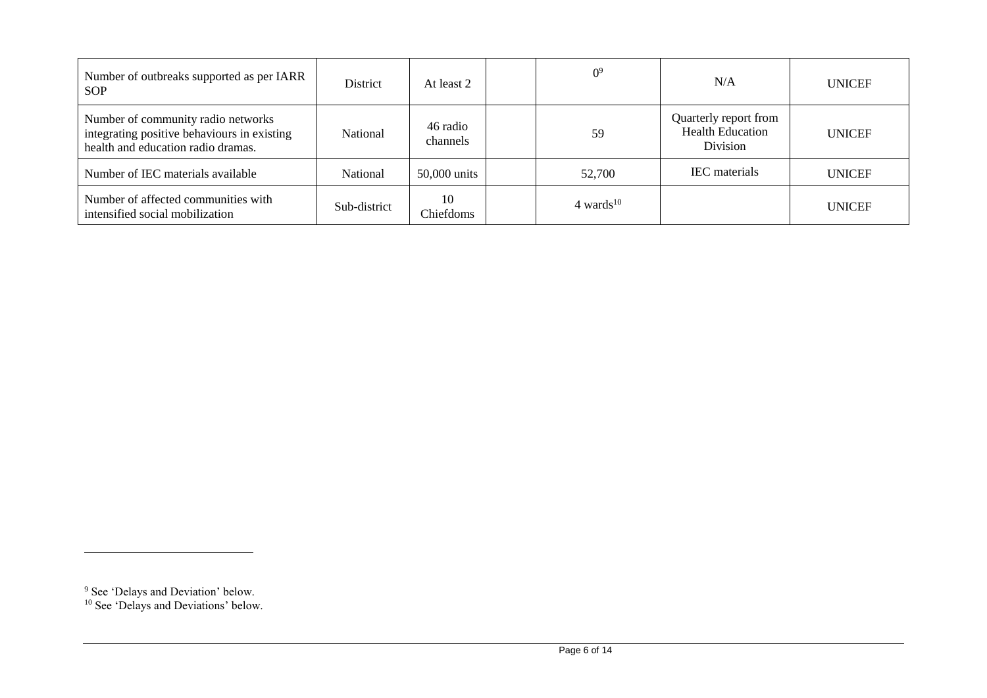| Number of outbreaks supported as per IARR<br><b>SOP</b>                                                                 | District        | At least 2           | 0 <sup>9</sup> | N/A                                                          | <b>UNICEF</b> |
|-------------------------------------------------------------------------------------------------------------------------|-----------------|----------------------|----------------|--------------------------------------------------------------|---------------|
| Number of community radio networks<br>integrating positive behaviours in existing<br>health and education radio dramas. | National        | 46 radio<br>channels | 59             | Quarterly report from<br><b>Health Education</b><br>Division | <b>UNICEF</b> |
| Number of IEC materials available                                                                                       | <b>National</b> | 50,000 units         | 52,700         | <b>IEC</b> materials                                         | <b>UNICEF</b> |
| Number of affected communities with<br>intensified social mobilization                                                  | Sub-district    | 10<br>Chiefdoms      | 4 wards $10$   |                                                              | <b>UNICEF</b> |

 $\overline{a}$ 

<sup>&</sup>lt;sup>9</sup> See 'Delays and Deviation' below.

<sup>&</sup>lt;sup>10</sup> See 'Delays and Deviations' below.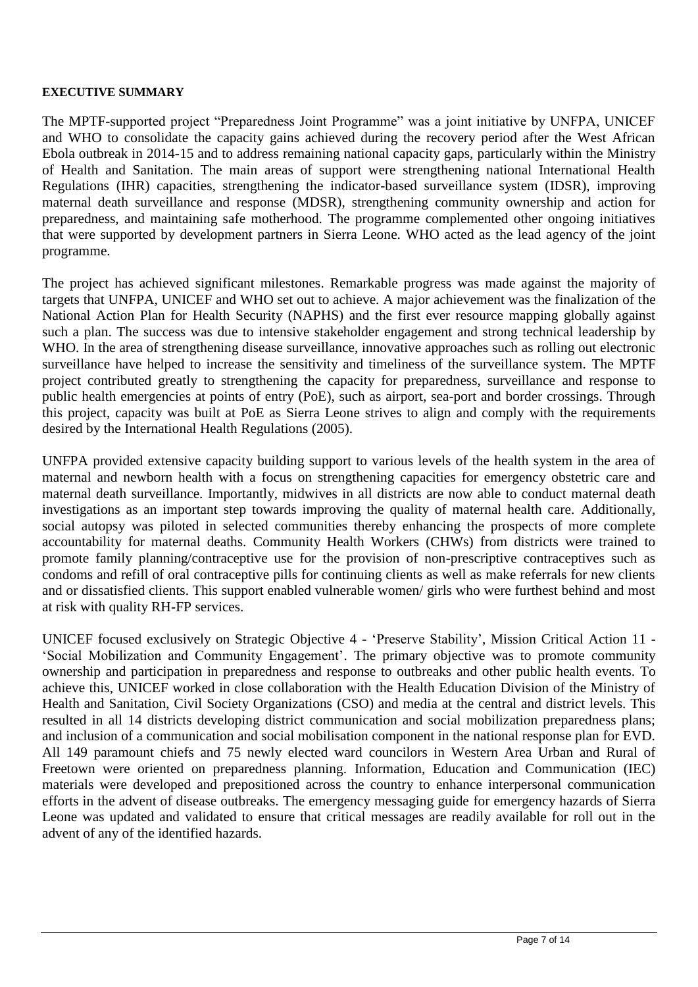#### **EXECUTIVE SUMMARY**

The MPTF-supported project "Preparedness Joint Programme" was a joint initiative by UNFPA, UNICEF and WHO to consolidate the capacity gains achieved during the recovery period after the West African Ebola outbreak in 2014-15 and to address remaining national capacity gaps, particularly within the Ministry of Health and Sanitation. The main areas of support were strengthening national International Health Regulations (IHR) capacities, strengthening the indicator-based surveillance system (IDSR), improving maternal death surveillance and response (MDSR), strengthening community ownership and action for preparedness, and maintaining safe motherhood. The programme complemented other ongoing initiatives that were supported by development partners in Sierra Leone. WHO acted as the lead agency of the joint programme.

The project has achieved significant milestones. Remarkable progress was made against the majority of targets that UNFPA, UNICEF and WHO set out to achieve. A major achievement was the finalization of the National Action Plan for Health Security (NAPHS) and the first ever resource mapping globally against such a plan. The success was due to intensive stakeholder engagement and strong technical leadership by WHO. In the area of strengthening disease surveillance, innovative approaches such as rolling out electronic surveillance have helped to increase the sensitivity and timeliness of the surveillance system. The MPTF project contributed greatly to strengthening the capacity for preparedness, surveillance and response to public health emergencies at points of entry (PoE), such as airport, sea-port and border crossings. Through this project, capacity was built at PoE as Sierra Leone strives to align and comply with the requirements desired by the International Health Regulations (2005).

UNFPA provided extensive capacity building support to various levels of the health system in the area of maternal and newborn health with a focus on strengthening capacities for emergency obstetric care and maternal death surveillance. Importantly, midwives in all districts are now able to conduct maternal death investigations as an important step towards improving the quality of maternal health care. Additionally, social autopsy was piloted in selected communities thereby enhancing the prospects of more complete accountability for maternal deaths. Community Health Workers (CHWs) from districts were trained to promote family planning/contraceptive use for the provision of non-prescriptive contraceptives such as condoms and refill of oral contraceptive pills for continuing clients as well as make referrals for new clients and or dissatisfied clients. This support enabled vulnerable women/ girls who were furthest behind and most at risk with quality RH-FP services.

UNICEF focused exclusively on Strategic Objective 4 - 'Preserve Stability', Mission Critical Action 11 - 'Social Mobilization and Community Engagement'. The primary objective was to promote community ownership and participation in preparedness and response to outbreaks and other public health events. To achieve this, UNICEF worked in close collaboration with the Health Education Division of the Ministry of Health and Sanitation, Civil Society Organizations (CSO) and media at the central and district levels. This resulted in all 14 districts developing district communication and social mobilization preparedness plans; and inclusion of a communication and social mobilisation component in the national response plan for EVD. All 149 paramount chiefs and 75 newly elected ward councilors in Western Area Urban and Rural of Freetown were oriented on preparedness planning. Information, Education and Communication (IEC) materials were developed and prepositioned across the country to enhance interpersonal communication efforts in the advent of disease outbreaks. The emergency messaging guide for emergency hazards of Sierra Leone was updated and validated to ensure that critical messages are readily available for roll out in the advent of any of the identified hazards.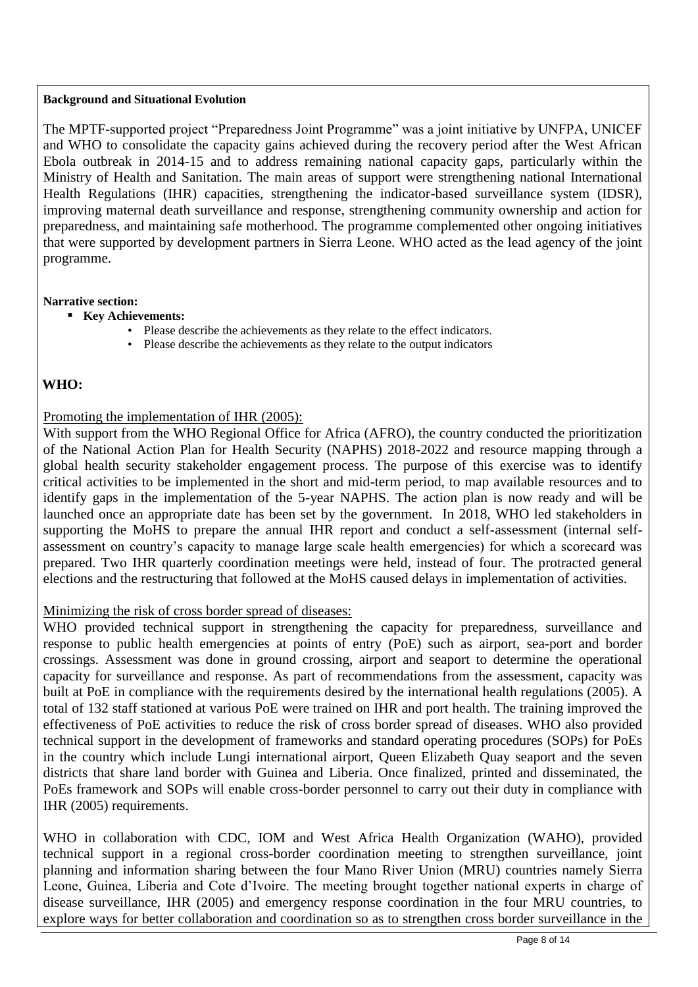#### **Background and Situational Evolution**

The MPTF-supported project "Preparedness Joint Programme" was a joint initiative by UNFPA, UNICEF and WHO to consolidate the capacity gains achieved during the recovery period after the West African Ebola outbreak in 2014-15 and to address remaining national capacity gaps, particularly within the Ministry of Health and Sanitation. The main areas of support were strengthening national International Health Regulations (IHR) capacities, strengthening the indicator-based surveillance system (IDSR), improving maternal death surveillance and response, strengthening community ownership and action for preparedness, and maintaining safe motherhood. The programme complemented other ongoing initiatives that were supported by development partners in Sierra Leone. WHO acted as the lead agency of the joint programme.

#### **Narrative section:**

- **Key Achievements:**
	- Please describe the achievements as they relate to the effect indicators.
	- Please describe the achievements as they relate to the output indicators

## **WHO:**

### Promoting the implementation of IHR (2005):

With support from the WHO Regional Office for Africa (AFRO), the country conducted the prioritization of the National Action Plan for Health Security (NAPHS) 2018-2022 and resource mapping through a global health security stakeholder engagement process. The purpose of this exercise was to identify critical activities to be implemented in the short and mid-term period, to map available resources and to identify gaps in the implementation of the 5-year NAPHS. The action plan is now ready and will be launched once an appropriate date has been set by the government. In 2018, WHO led stakeholders in supporting the MoHS to prepare the annual IHR report and conduct a self-assessment (internal selfassessment on country's capacity to manage large scale health emergencies) for which a scorecard was prepared. Two IHR quarterly coordination meetings were held, instead of four. The protracted general elections and the restructuring that followed at the MoHS caused delays in implementation of activities.

#### Minimizing the risk of cross border spread of diseases:

WHO provided technical support in strengthening the capacity for preparedness, surveillance and response to public health emergencies at points of entry (PoE) such as airport, sea-port and border crossings. Assessment was done in ground crossing, airport and seaport to determine the operational capacity for surveillance and response. As part of recommendations from the assessment, capacity was built at PoE in compliance with the requirements desired by the international health regulations (2005). A total of 132 staff stationed at various PoE were trained on IHR and port health. The training improved the effectiveness of PoE activities to reduce the risk of cross border spread of diseases. WHO also provided technical support in the development of frameworks and standard operating procedures (SOPs) for PoEs in the country which include Lungi international airport, Queen Elizabeth Quay seaport and the seven districts that share land border with Guinea and Liberia. Once finalized, printed and disseminated, the PoEs framework and SOPs will enable cross-border personnel to carry out their duty in compliance with IHR (2005) requirements.

WHO in collaboration with CDC, IOM and West Africa Health Organization (WAHO), provided technical support in a regional cross-border coordination meeting to strengthen surveillance, joint planning and information sharing between the four Mano River Union (MRU) countries namely Sierra Leone, Guinea, Liberia and Cote d'Ivoire. The meeting brought together national experts in charge of disease surveillance, IHR (2005) and emergency response coordination in the four MRU countries, to explore ways for better collaboration and coordination so as to strengthen cross border surveillance in the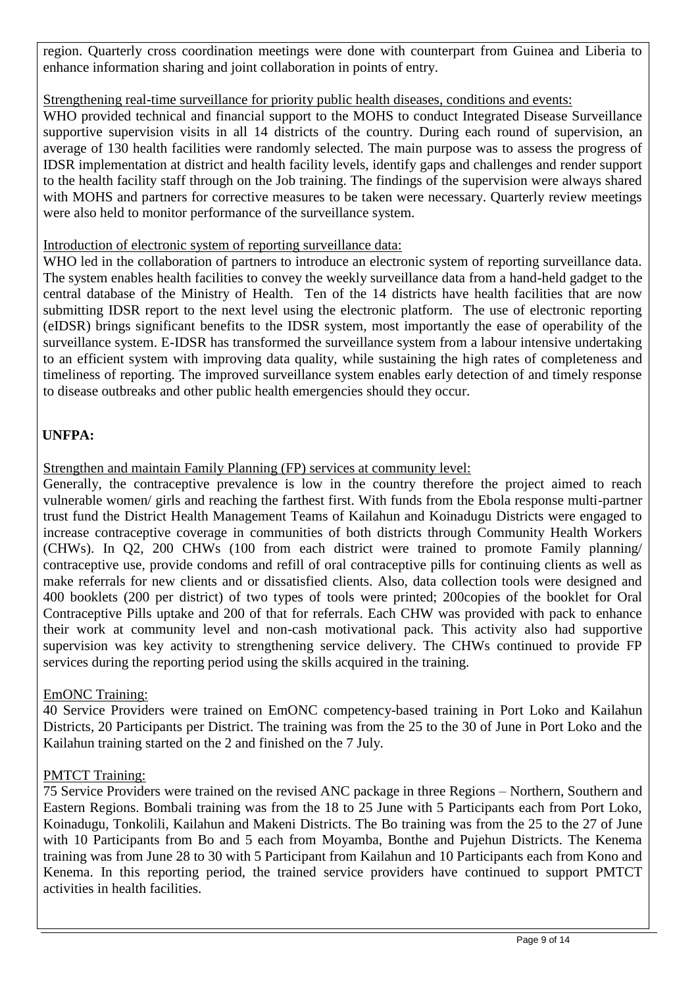region. Quarterly cross coordination meetings were done with counterpart from Guinea and Liberia to enhance information sharing and joint collaboration in points of entry.

# Strengthening real-time surveillance for priority public health diseases, conditions and events:

WHO provided technical and financial support to the MOHS to conduct Integrated Disease Surveillance supportive supervision visits in all 14 districts of the country. During each round of supervision, an average of 130 health facilities were randomly selected. The main purpose was to assess the progress of IDSR implementation at district and health facility levels, identify gaps and challenges and render support to the health facility staff through on the Job training. The findings of the supervision were always shared with MOHS and partners for corrective measures to be taken were necessary. Quarterly review meetings were also held to monitor performance of the surveillance system.

## Introduction of electronic system of reporting surveillance data:

WHO led in the collaboration of partners to introduce an electronic system of reporting surveillance data. The system enables health facilities to convey the weekly surveillance data from a hand-held gadget to the central database of the Ministry of Health. Ten of the 14 districts have health facilities that are now submitting IDSR report to the next level using the electronic platform. The use of electronic reporting (eIDSR) brings significant benefits to the IDSR system, most importantly the ease of operability of the surveillance system. E-IDSR has transformed the surveillance system from a labour intensive undertaking to an efficient system with improving data quality, while sustaining the high rates of completeness and timeliness of reporting. The improved surveillance system enables early detection of and timely response to disease outbreaks and other public health emergencies should they occur.

# **UNFPA:**

Strengthen and maintain Family Planning (FP) services at community level:

Generally, the contraceptive prevalence is low in the country therefore the project aimed to reach vulnerable women/ girls and reaching the farthest first. With funds from the Ebola response multi-partner trust fund the District Health Management Teams of Kailahun and Koinadugu Districts were engaged to increase contraceptive coverage in communities of both districts through Community Health Workers (CHWs). In Q2, 200 CHWs (100 from each district were trained to promote Family planning/ contraceptive use, provide condoms and refill of oral contraceptive pills for continuing clients as well as make referrals for new clients and or dissatisfied clients. Also, data collection tools were designed and 400 booklets (200 per district) of two types of tools were printed; 200copies of the booklet for Oral Contraceptive Pills uptake and 200 of that for referrals. Each CHW was provided with pack to enhance their work at community level and non-cash motivational pack. This activity also had supportive supervision was key activity to strengthening service delivery. The CHWs continued to provide FP services during the reporting period using the skills acquired in the training.

# EmONC Training:

40 Service Providers were trained on EmONC competency-based training in Port Loko and Kailahun Districts, 20 Participants per District. The training was from the 25 to the 30 of June in Port Loko and the Kailahun training started on the 2 and finished on the 7 July.

# PMTCT Training:

75 Service Providers were trained on the revised ANC package in three Regions – Northern, Southern and Eastern Regions. Bombali training was from the 18 to 25 June with 5 Participants each from Port Loko, Koinadugu, Tonkolili, Kailahun and Makeni Districts. The Bo training was from the 25 to the 27 of June with 10 Participants from Bo and 5 each from Moyamba, Bonthe and Pujehun Districts. The Kenema training was from June 28 to 30 with 5 Participant from Kailahun and 10 Participants each from Kono and Kenema. In this reporting period, the trained service providers have continued to support PMTCT activities in health facilities.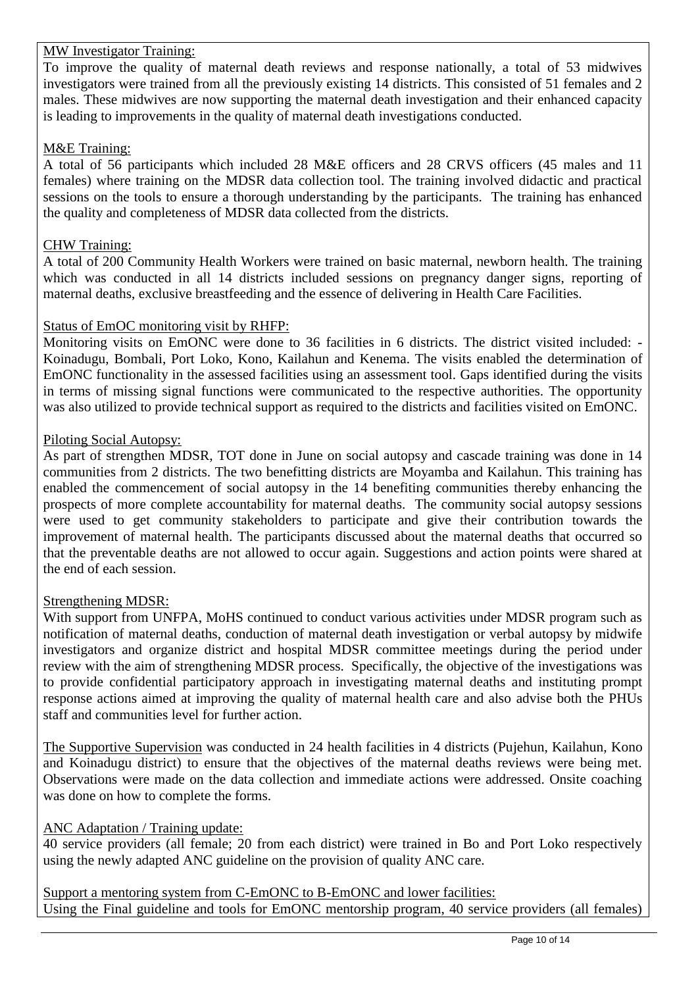### MW Investigator Training:

To improve the quality of maternal death reviews and response nationally, a total of 53 midwives investigators were trained from all the previously existing 14 districts. This consisted of 51 females and 2 males. These midwives are now supporting the maternal death investigation and their enhanced capacity is leading to improvements in the quality of maternal death investigations conducted.

#### M&E Training:

A total of 56 participants which included 28 M&E officers and 28 CRVS officers (45 males and 11 females) where training on the MDSR data collection tool. The training involved didactic and practical sessions on the tools to ensure a thorough understanding by the participants. The training has enhanced the quality and completeness of MDSR data collected from the districts.

### CHW Training:

A total of 200 Community Health Workers were trained on basic maternal, newborn health. The training which was conducted in all 14 districts included sessions on pregnancy danger signs, reporting of maternal deaths, exclusive breastfeeding and the essence of delivering in Health Care Facilities.

#### Status of EmOC monitoring visit by RHFP:

Monitoring visits on EmONC were done to 36 facilities in 6 districts. The district visited included: -Koinadugu, Bombali, Port Loko, Kono, Kailahun and Kenema. The visits enabled the determination of EmONC functionality in the assessed facilities using an assessment tool. Gaps identified during the visits in terms of missing signal functions were communicated to the respective authorities. The opportunity was also utilized to provide technical support as required to the districts and facilities visited on EmONC.

#### Piloting Social Autopsy:

As part of strengthen MDSR, TOT done in June on social autopsy and cascade training was done in 14 communities from 2 districts. The two benefitting districts are Moyamba and Kailahun. This training has enabled the commencement of social autopsy in the 14 benefiting communities thereby enhancing the prospects of more complete accountability for maternal deaths. The community social autopsy sessions were used to get community stakeholders to participate and give their contribution towards the improvement of maternal health. The participants discussed about the maternal deaths that occurred so that the preventable deaths are not allowed to occur again. Suggestions and action points were shared at the end of each session.

#### Strengthening MDSR:

With support from UNFPA, MoHS continued to conduct various activities under MDSR program such as notification of maternal deaths, conduction of maternal death investigation or verbal autopsy by midwife investigators and organize district and hospital MDSR committee meetings during the period under review with the aim of strengthening MDSR process. Specifically, the objective of the investigations was to provide confidential participatory approach in investigating maternal deaths and instituting prompt response actions aimed at improving the quality of maternal health care and also advise both the PHUs staff and communities level for further action.

The Supportive Supervision was conducted in 24 health facilities in 4 districts (Pujehun, Kailahun, Kono and Koinadugu district) to ensure that the objectives of the maternal deaths reviews were being met. Observations were made on the data collection and immediate actions were addressed. Onsite coaching was done on how to complete the forms.

## ANC Adaptation / Training update:

40 service providers (all female; 20 from each district) were trained in Bo and Port Loko respectively using the newly adapted ANC guideline on the provision of quality ANC care.

Support a mentoring system from C-EmONC to B-EmONC and lower facilities: Using the Final guideline and tools for EmONC mentorship program, 40 service providers (all females)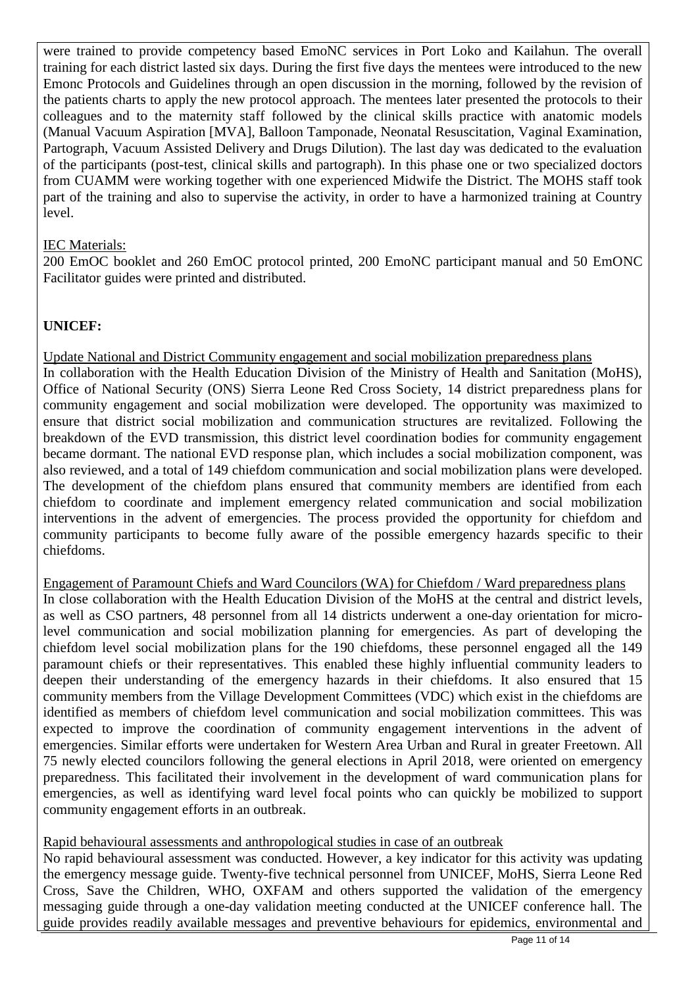were trained to provide competency based EmoNC services in Port Loko and Kailahun. The overall training for each district lasted six days. During the first five days the mentees were introduced to the new Emonc Protocols and Guidelines through an open discussion in the morning, followed by the revision of the patients charts to apply the new protocol approach. The mentees later presented the protocols to their colleagues and to the maternity staff followed by the clinical skills practice with anatomic models (Manual Vacuum Aspiration [MVA], Balloon Tamponade, Neonatal Resuscitation, Vaginal Examination, Partograph, Vacuum Assisted Delivery and Drugs Dilution). The last day was dedicated to the evaluation of the participants (post-test, clinical skills and partograph). In this phase one or two specialized doctors from CUAMM were working together with one experienced Midwife the District. The MOHS staff took part of the training and also to supervise the activity, in order to have a harmonized training at Country level.

# IEC Materials:

200 EmOC booklet and 260 EmOC protocol printed, 200 EmoNC participant manual and 50 EmONC Facilitator guides were printed and distributed.

## **UNICEF:**

Update National and District Community engagement and social mobilization preparedness plans In collaboration with the Health Education Division of the Ministry of Health and Sanitation (MoHS), Office of National Security (ONS) Sierra Leone Red Cross Society, 14 district preparedness plans for community engagement and social mobilization were developed. The opportunity was maximized to ensure that district social mobilization and communication structures are revitalized. Following the breakdown of the EVD transmission, this district level coordination bodies for community engagement became dormant. The national EVD response plan, which includes a social mobilization component, was also reviewed, and a total of 149 chiefdom communication and social mobilization plans were developed. The development of the chiefdom plans ensured that community members are identified from each chiefdom to coordinate and implement emergency related communication and social mobilization interventions in the advent of emergencies. The process provided the opportunity for chiefdom and community participants to become fully aware of the possible emergency hazards specific to their chiefdoms.

Engagement of Paramount Chiefs and Ward Councilors (WA) for Chiefdom / Ward preparedness plans

In close collaboration with the Health Education Division of the MoHS at the central and district levels, as well as CSO partners, 48 personnel from all 14 districts underwent a one-day orientation for microlevel communication and social mobilization planning for emergencies. As part of developing the chiefdom level social mobilization plans for the 190 chiefdoms, these personnel engaged all the 149 paramount chiefs or their representatives. This enabled these highly influential community leaders to deepen their understanding of the emergency hazards in their chiefdoms. It also ensured that 15 community members from the Village Development Committees (VDC) which exist in the chiefdoms are identified as members of chiefdom level communication and social mobilization committees. This was expected to improve the coordination of community engagement interventions in the advent of emergencies. Similar efforts were undertaken for Western Area Urban and Rural in greater Freetown. All 75 newly elected councilors following the general elections in April 2018, were oriented on emergency preparedness. This facilitated their involvement in the development of ward communication plans for emergencies, as well as identifying ward level focal points who can quickly be mobilized to support community engagement efforts in an outbreak.

Rapid behavioural assessments and anthropological studies in case of an outbreak

No rapid behavioural assessment was conducted. However, a key indicator for this activity was updating the emergency message guide. Twenty-five technical personnel from UNICEF, MoHS, Sierra Leone Red Cross, Save the Children, WHO, OXFAM and others supported the validation of the emergency messaging guide through a one-day validation meeting conducted at the UNICEF conference hall. The guide provides readily available messages and preventive behaviours for epidemics, environmental and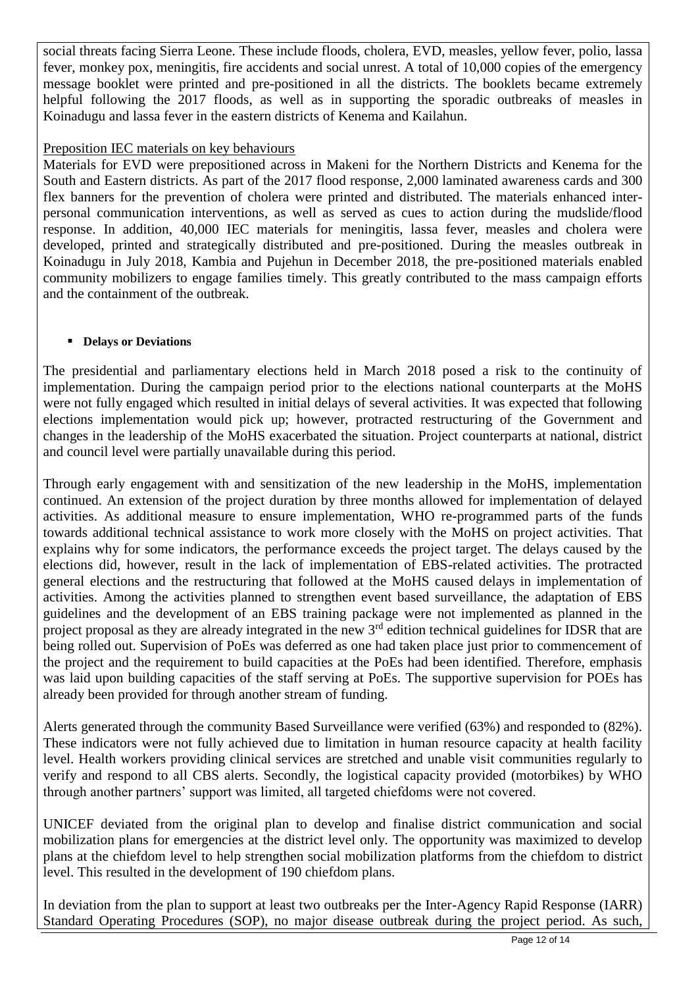social threats facing Sierra Leone. These include floods, cholera, EVD, measles, yellow fever, polio, lassa fever, monkey pox, meningitis, fire accidents and social unrest. A total of 10,000 copies of the emergency message booklet were printed and pre-positioned in all the districts. The booklets became extremely helpful following the 2017 floods, as well as in supporting the sporadic outbreaks of measles in Koinadugu and lassa fever in the eastern districts of Kenema and Kailahun.

## Preposition IEC materials on key behaviours

Materials for EVD were prepositioned across in Makeni for the Northern Districts and Kenema for the South and Eastern districts. As part of the 2017 flood response, 2,000 laminated awareness cards and 300 flex banners for the prevention of cholera were printed and distributed. The materials enhanced interpersonal communication interventions, as well as served as cues to action during the mudslide/flood response. In addition, 40,000 IEC materials for meningitis, lassa fever, measles and cholera were developed, printed and strategically distributed and pre-positioned. During the measles outbreak in Koinadugu in July 2018, Kambia and Pujehun in December 2018, the pre-positioned materials enabled community mobilizers to engage families timely. This greatly contributed to the mass campaign efforts and the containment of the outbreak.

## ▪ **Delays or Deviations**

The presidential and parliamentary elections held in March 2018 posed a risk to the continuity of implementation. During the campaign period prior to the elections national counterparts at the MoHS were not fully engaged which resulted in initial delays of several activities. It was expected that following elections implementation would pick up; however, protracted restructuring of the Government and changes in the leadership of the MoHS exacerbated the situation. Project counterparts at national, district and council level were partially unavailable during this period.

Through early engagement with and sensitization of the new leadership in the MoHS, implementation continued. An extension of the project duration by three months allowed for implementation of delayed activities. As additional measure to ensure implementation, WHO re-programmed parts of the funds towards additional technical assistance to work more closely with the MoHS on project activities. That explains why for some indicators, the performance exceeds the project target. The delays caused by the elections did, however, result in the lack of implementation of EBS-related activities. The protracted general elections and the restructuring that followed at the MoHS caused delays in implementation of activities. Among the activities planned to strengthen event based surveillance, the adaptation of EBS guidelines and the development of an EBS training package were not implemented as planned in the project proposal as they are already integrated in the new 3rd edition technical guidelines for IDSR that are being rolled out. Supervision of PoEs was deferred as one had taken place just prior to commencement of the project and the requirement to build capacities at the PoEs had been identified. Therefore, emphasis was laid upon building capacities of the staff serving at PoEs. The supportive supervision for POEs has already been provided for through another stream of funding.

Alerts generated through the community Based Surveillance were verified (63%) and responded to (82%). These indicators were not fully achieved due to limitation in human resource capacity at health facility level. Health workers providing clinical services are stretched and unable visit communities regularly to verify and respond to all CBS alerts. Secondly, the logistical capacity provided (motorbikes) by WHO through another partners' support was limited, all targeted chiefdoms were not covered.

UNICEF deviated from the original plan to develop and finalise district communication and social mobilization plans for emergencies at the district level only. The opportunity was maximized to develop plans at the chiefdom level to help strengthen social mobilization platforms from the chiefdom to district level. This resulted in the development of 190 chiefdom plans.

In deviation from the plan to support at least two outbreaks per the Inter-Agency Rapid Response (IARR) Standard Operating Procedures (SOP), no major disease outbreak during the project period. As such,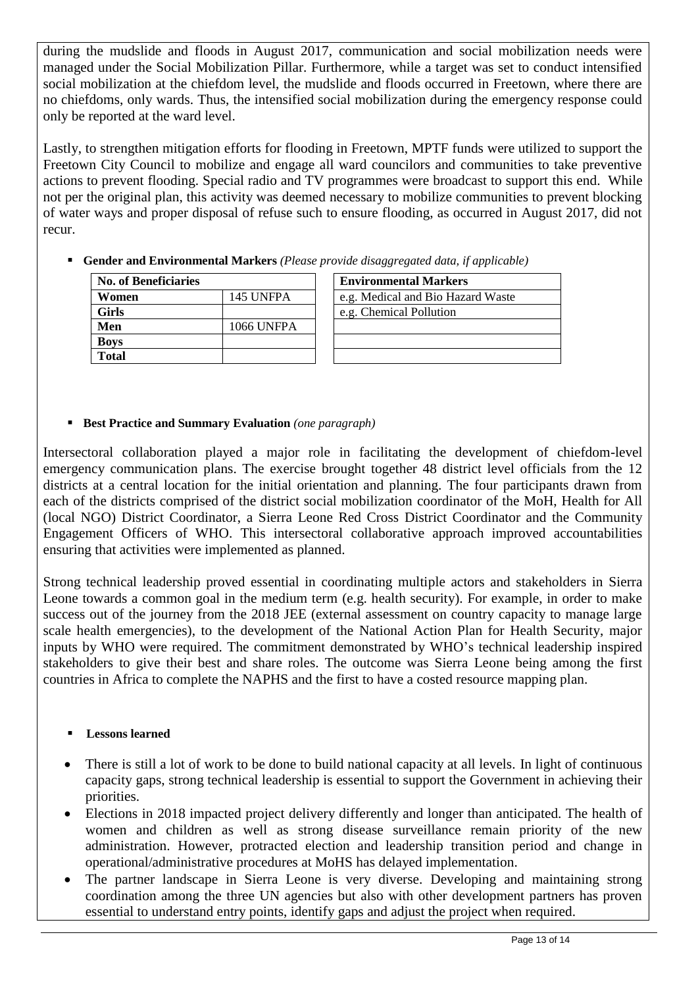during the mudslide and floods in August 2017, communication and social mobilization needs were managed under the Social Mobilization Pillar. Furthermore, while a target was set to conduct intensified social mobilization at the chiefdom level, the mudslide and floods occurred in Freetown, where there are no chiefdoms, only wards. Thus, the intensified social mobilization during the emergency response could only be reported at the ward level.

Lastly, to strengthen mitigation efforts for flooding in Freetown, MPTF funds were utilized to support the Freetown City Council to mobilize and engage all ward councilors and communities to take preventive actions to prevent flooding. Special radio and TV programmes were broadcast to support this end. While not per the original plan, this activity was deemed necessary to mobilize communities to prevent blocking of water ways and proper disposal of refuse such to ensure flooding, as occurred in August 2017, did not recur.

▪ **Gender and Environmental Markers** *(Please provide disaggregated data, if applicable)*

| <b>No. of Beneficiaries</b> |                   | <b>Environmental Markers</b>      |
|-----------------------------|-------------------|-----------------------------------|
| Women                       | 145 UNFPA         | e.g. Medical and Bio Hazard Waste |
| <b>Girls</b>                |                   | e.g. Chemical Pollution           |
| Men                         | <b>1066 UNFPA</b> |                                   |
| <b>Boys</b>                 |                   |                                   |
| <b>Total</b>                |                   |                                   |

### ▪ **Best Practice and Summary Evaluation** *(one paragraph)*

Intersectoral collaboration played a major role in facilitating the development of chiefdom-level emergency communication plans. The exercise brought together 48 district level officials from the 12 districts at a central location for the initial orientation and planning. The four participants drawn from each of the districts comprised of the district social mobilization coordinator of the MoH, Health for All (local NGO) District Coordinator, a Sierra Leone Red Cross District Coordinator and the Community Engagement Officers of WHO. This intersectoral collaborative approach improved accountabilities ensuring that activities were implemented as planned.

Strong technical leadership proved essential in coordinating multiple actors and stakeholders in Sierra Leone towards a common goal in the medium term (e.g. health security). For example, in order to make success out of the journey from the 2018 JEE (external assessment on country capacity to manage large scale health emergencies), to the development of the National Action Plan for Health Security, major inputs by WHO were required. The commitment demonstrated by WHO's technical leadership inspired stakeholders to give their best and share roles. The outcome was Sierra Leone being among the first countries in Africa to complete the NAPHS and the first to have a costed resource mapping plan.

## **Lessons learned**

- There is still a lot of work to be done to build national capacity at all levels. In light of continuous capacity gaps, strong technical leadership is essential to support the Government in achieving their priorities.
- Elections in 2018 impacted project delivery differently and longer than anticipated. The health of women and children as well as strong disease surveillance remain priority of the new administration. However, protracted election and leadership transition period and change in operational/administrative procedures at MoHS has delayed implementation.
- The partner landscape in Sierra Leone is very diverse. Developing and maintaining strong coordination among the three UN agencies but also with other development partners has proven essential to understand entry points, identify gaps and adjust the project when required.